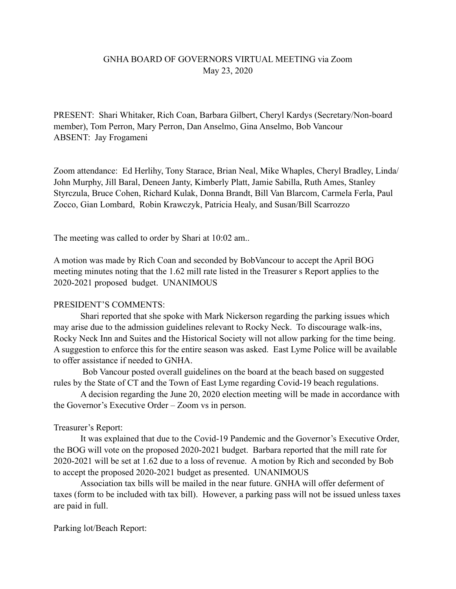## GNHA BOARD OF GOVERNORS VIRTUAL MEETING via Zoom May 23, 2020

PRESENT: Shari Whitaker, Rich Coan, Barbara Gilbert, Cheryl Kardys (Secretary/Non-board member), Tom Perron, Mary Perron, Dan Anselmo, Gina Anselmo, Bob Vancour ABSENT: Jay Frogameni

Zoom attendance: Ed Herlihy, Tony Starace, Brian Neal, Mike Whaples, Cheryl Bradley, Linda/ John Murphy, Jill Baral, Deneen Janty, Kimberly Platt, Jamie Sabilla, Ruth Ames, Stanley Styrczula, Bruce Cohen, Richard Kulak, Donna Brandt, Bill Van Blarcom, Carmela Ferla, Paul Zocco, Gian Lombard, Robin Krawczyk, Patricia Healy, and Susan/Bill Scarrozzo

The meeting was called to order by Shari at 10:02 am..

A motion was made by Rich Coan and seconded by BobVancour to accept the April BOG meeting minutes noting that the 1.62 mill rate listed in the Treasurer s Report applies to the 2020-2021 proposed budget. UNANIMOUS

## PRESIDENT'S COMMENTS:

 Shari reported that she spoke with Mark Nickerson regarding the parking issues which may arise due to the admission guidelines relevant to Rocky Neck. To discourage walk-ins, Rocky Neck Inn and Suites and the Historical Society will not allow parking for the time being. A suggestion to enforce this for the entire season was asked. East Lyme Police will be available to offer assistance if needed to GNHA.

 Bob Vancour posted overall guidelines on the board at the beach based on suggested rules by the State of CT and the Town of East Lyme regarding Covid-19 beach regulations.

 A decision regarding the June 20, 2020 election meeting will be made in accordance with the Governor's Executive Order – Zoom vs in person.

## Treasurer's Report:

 It was explained that due to the Covid-19 Pandemic and the Governor's Executive Order, the BOG will vote on the proposed 2020-2021 budget. Barbara reported that the mill rate for 2020-2021 will be set at 1.62 due to a loss of revenue. A motion by Rich and seconded by Bob to accept the proposed 2020-2021 budget as presented. UNANIMOUS

 Association tax bills will be mailed in the near future. GNHA will offer deferment of taxes (form to be included with tax bill). However, a parking pass will not be issued unless taxes are paid in full.

Parking lot/Beach Report: